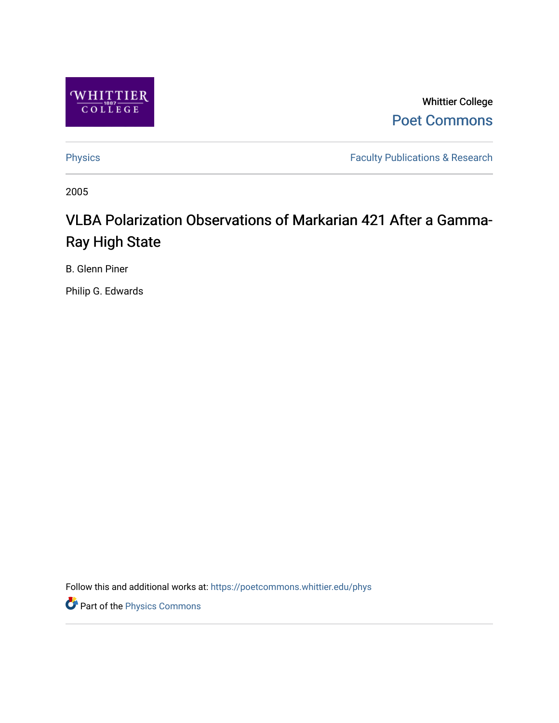

Whittier College [Poet Commons](https://poetcommons.whittier.edu/) 

[Physics](https://poetcommons.whittier.edu/phys) **Faculty Publications & Research Physics** 

2005

# VLBA Polarization Observations of Markarian 421 After a Gamma-Ray High State

B. Glenn Piner

Philip G. Edwards

Follow this and additional works at: [https://poetcommons.whittier.edu/phys](https://poetcommons.whittier.edu/phys?utm_source=poetcommons.whittier.edu%2Fphys%2F9&utm_medium=PDF&utm_campaign=PDFCoverPages)

Part of the [Physics Commons](http://network.bepress.com/hgg/discipline/193?utm_source=poetcommons.whittier.edu%2Fphys%2F9&utm_medium=PDF&utm_campaign=PDFCoverPages)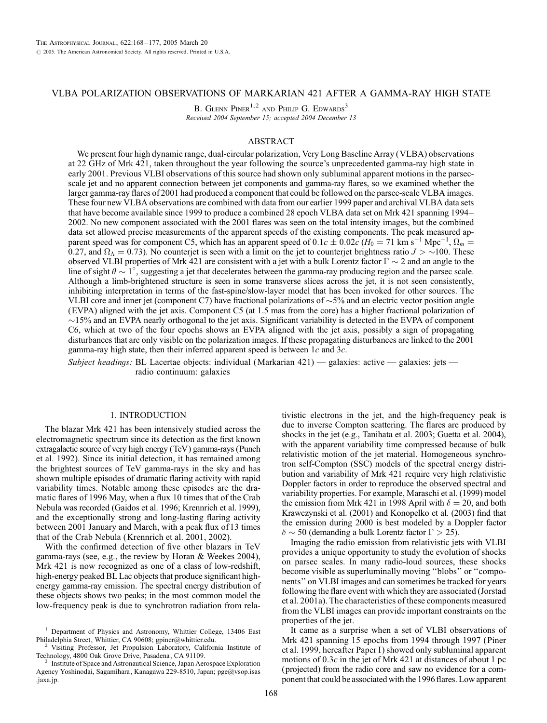# VLBA POLARIZATION OBSERVATIONS OF MARKARIAN 421 AFTER A GAMMA-RAY HIGH STATE

B. GLENN PINER<sup>1,2</sup> AND PHILIP G. EDWARDS<sup>3</sup> Received 2004 September 15; accepted 2004 December 13

# ABSTRACT

We present four high dynamic range, dual-circular polarization, Very Long Baseline Array (VLBA) observations at 22 GHz of Mrk 421, taken throughout the year following the source's unprecedented gamma-ray high state in early 2001. Previous VLBI observations of this source had shown only subluminal apparent motions in the parsecscale jet and no apparent connection between jet components and gamma-ray flares, so we examined whether the larger gamma-ray flares of 2001 had produced a component that could be followed on the parsec-scale VLBA images. These four new VLBA observations are combined with data from our earlier 1999 paper and archival VLBA data sets that have become available since 1999 to produce a combined 28 epoch VLBA data set on Mrk 421 spanning 1994– 2002. No new component associated with the 2001 flares was seen on the total intensity images, but the combined data set allowed precise measurements of the apparent speeds of the existing components. The peak measured apparent speed was for component C5, which has an apparent speed of  $0.1c \pm 0.02c$  ( $H_0 = 71$  km s<sup>-1</sup> Mpc<sup>-1</sup>,  $\Omega_m =$ 0.27, and  $\Omega_{\Lambda} = 0.73$ ). No counterjet is seen with a limit on the jet to counterjet brightness ratio  $J > 100$ . These observed VLBI properties of Mrk 421 are consistent with a jet with a bulk Lorentz factor  $\Gamma \sim 2$  and an angle to the line of sight  $\theta \sim 1^{\circ}$ , suggesting a jet that decelerates between the gamma-ray producing region and the parsec scale. Although a limb-brightened structure is seen in some transverse slices across the jet, it is not seen consistently, inhibiting interpretation in terms of the fast-spine/slow-layer model that has been invoked for other sources. The VLBI core and inner jet (component C7) have fractional polarizations of  $\sim$  5% and an electric vector position angle (EVPA) aligned with the jet axis. Component C5 (at 1.5 mas from the core) has a higher fractional polarization of  $\sim$ 15% and an EVPA nearly orthogonal to the jet axis. Significant variability is detected in the EVPA of component C6, which at two of the four epochs shows an EVPA aligned with the jet axis, possibly a sign of propagating disturbances that are only visible on the polarization images. If these propagating disturbances are linked to the 2001 gamma-ray high state, then their inferred apparent speed is between  $1c$  and  $3c$ .

Subject headings: BL Lacertae objects: individual (Markarian 421) — galaxies: active — galaxies: jets radio continuum: galaxies

# 1. INTRODUCTION

The blazar Mrk 421 has been intensively studied across the electromagnetic spectrum since its detection as the first known extragalactic source of very high energy (TeV) gamma-rays (Punch et al. 1992). Since its initial detection, it has remained among the brightest sources of TeV gamma-rays in the sky and has shown multiple episodes of dramatic flaring activity with rapid variability times. Notable among these episodes are the dramatic flares of 1996 May, when a flux 10 times that of the Crab Nebula was recorded (Gaidos et al. 1996; Krennrich et al. 1999), and the exceptionally strong and long-lasting flaring activity between 2001 January and March, with a peak flux of 13 times that of the Crab Nebula (Krennrich et al. 2001, 2002).

With the confirmed detection of five other blazars in TeV gamma-rays (see, e.g., the review by Horan & Weekes 2004), Mrk 421 is now recognized as one of a class of low-redshift, high-energy peaked BL Lac objects that produce significant highenergy gamma-ray emission. The spectral energy distribution of these objects shows two peaks; in the most common model the low-frequency peak is due to synchrotron radiation from relativistic electrons in the jet, and the high-frequency peak is due to inverse Compton scattering. The flares are produced by shocks in the jet (e.g., Tanihata et al. 2003; Guetta et al. 2004), with the apparent variability time compressed because of bulk relativistic motion of the jet material. Homogeneous synchrotron self-Compton (SSC) models of the spectral energy distribution and variability of Mrk 421 require very high relativistic Doppler factors in order to reproduce the observed spectral and variability properties. For example, Maraschi et al. (1999) model the emission from Mrk 421 in 1998 April with  $\delta = 20$ , and both Krawczynski et al. (2001) and Konopelko et al. (2003) find that the emission during 2000 is best modeled by a Doppler factor  $\delta \sim 50$  (demanding a bulk Lorentz factor  $\Gamma > 25$ ).

Imaging the radio emission from relativistic jets with VLBI provides a unique opportunity to study the evolution of shocks on parsec scales. In many radio-loud sources, these shocks become visible as superluminally moving ''blobs'' or ''components'' on VLBI images and can sometimes be tracked for years following the flare event with which they are associated (Jorstad et al. 2001a). The characteristics of these components measured from the VLBI images can provide important constraints on the properties of the jet.

It came as a surprise when a set of VLBI observations of Mrk 421 spanning 15 epochs from 1994 through 1997 (Piner et al. 1999, hereafter Paper I) showed only subluminal apparent motions of  $0.3c$  in the jet of Mrk 421 at distances of about 1 pc (projected) from the radio core and saw no evidence for a component that could be associated with the 1996 flares. Low apparent

<sup>1</sup> Department of Physics and Astronomy, Whittier College, 13406 East

Philadelphia Street, Whittier, CA 90608; gpiner@whittier.edu.<br><sup>2</sup> Visiting Professor, Jet Propulsion Laboratory, California Institute of Technology, 4800 Oak Grove Drive, Pasadena, CA 91109.

Institute of Space and Astronautical Science, Japan Aerospace Exploration Agency Yoshinodai, Sagamihara, Kanagawa 229-8510, Japan; pge@vsop.isas .jaxa.jp.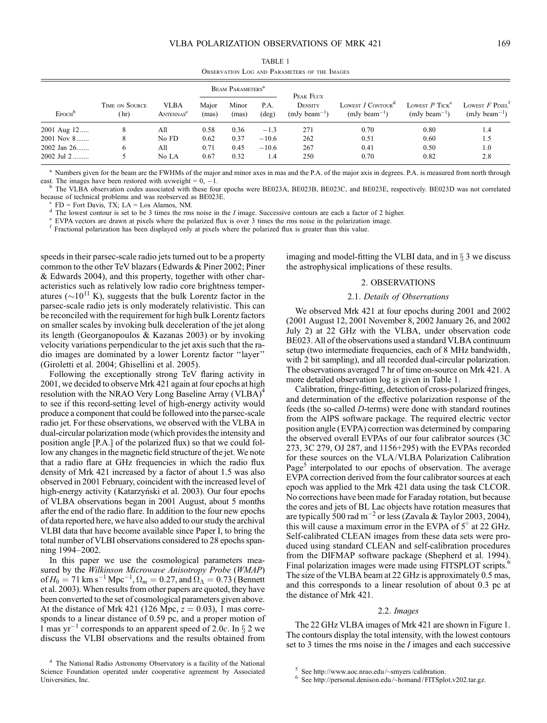| TABLE 1                                      |  |  |  |  |  |
|----------------------------------------------|--|--|--|--|--|
| OBSERVATION LOG AND PARAMETERS OF THE IMAGES |  |  |  |  |  |

|                    |                        |                                      | <b>BEAM PARAMETERS</b> <sup>a</sup> |                |                        | PEAK FLUX                    |                                                      |                                                   |                                                                 |
|--------------------|------------------------|--------------------------------------|-------------------------------------|----------------|------------------------|------------------------------|------------------------------------------------------|---------------------------------------------------|-----------------------------------------------------------------|
| EPOCH <sup>b</sup> | TIME ON SOURCE<br>(hr) | <b>VLBA</b><br>ANTENNAS <sup>c</sup> | Major<br>(mas)                      | Minor<br>(mas) | P.A.<br>$(\text{deg})$ | DENSITY<br>$(mJy beam^{-1})$ | LOWEST $I$ CONTOUR <sup>d</sup><br>$(mJy beam^{-1})$ | LOWEST $P$ TICK <sup>e</sup><br>$(mJy beam^{-1})$ | LOWEST $F$ PIXEL <sup><math>f</math></sup><br>$(mJy beam^{-1})$ |
| 2001 Aug 12        |                        | All                                  | 0.58                                | 0.36           | $-1.3$                 | 271                          | 0.70                                                 | 0.80                                              | 1.4                                                             |
| $2001$ Nov $8$     |                        | No FD                                | 0.62                                | 0.37           | $-10.6$                | 262                          | 0.51                                                 | 0.60                                              | 1.5                                                             |
| 2002 Jan 26        | 6                      | All                                  | 0.71                                | 0.45           | $-10.6$                | 267                          | 0.41                                                 | 0.50                                              | 1.0                                                             |
| $2002$ Jul $2$     |                        | No LA                                | 0.67                                | 0.32           | 1.4                    | 250                          | 0.70                                                 | 0.82                                              | 2.8                                                             |

<sup>a</sup> Numbers given for the beam are the FWHMs of the major and minor axes in mas and the P.A. of the major axis in degrees. P.A. is measured from north through east. The images have been restored with uvweight =  $0, -1$ .

<sup>b</sup> The VLBA observation codes associated with these four epochs were BE023A, BE023B, BE023C, and BE023E, respectively. BE023D was not correlated because of technical problems and was reobserved as BE023E.

 $^{\circ}$  FD = Fort Davis, TX; LA = Los Alamos, NM.<br>  $^{\circ}$  The lowest contour is set to be 3 times the rms noise in the *I* image. Successive contours are each a factor of 2 higher.<br>  $^{\circ}$  EVPA vectors are drawn at pixels

speeds in their parsec-scale radio jets turned out to be a property common to the other TeV blazars (Edwards & Piner 2002; Piner & Edwards 2004), and this property, together with other characteristics such as relatively low radio core brightness temperatures ( $\sim$ 10<sup>11</sup> K), suggests that the bulk Lorentz factor in the parsec-scale radio jets is only moderately relativistic. This can be reconciled with the requirement for high bulk Lorentz factors on smaller scales by invoking bulk deceleration of the jet along its length (Georganopoulos & Kazanas 2003) or by invoking velocity variations perpendicular to the jet axis such that the radio images are dominated by a lower Lorentz factor ''layer'' (Giroletti et al. 2004; Ghisellini et al. 2005).

Following the exceptionally strong TeV flaring activity in 2001, we decided to observe Mrk 421 again at four epochs at high resolution with the NRAO Very Long Baseline Array (VLBA)<sup>4</sup> to see if this record-setting level of high-energy activity would produce a component that could be followed into the parsec-scale radio jet. For these observations, we observed with the VLBA in dual-circular polarization mode (which provides the intensity and position angle [P.A.] of the polarized flux) so that we could follow any changes in the magnetic field structure of the jet. We note that a radio flare at GHz frequencies in which the radio flux density of Mrk 421 increased by a factor of about 1.5 was also observed in 2001 February, coincident with the increased level of high-energy activity (Katarzyński et al. 2003). Our four epochs of VLBA observations began in 2001 August, about 5 months after the end of the radio flare. In addition to the four new epochs of data reported here, we have also added to our study the archival VLBI data that have become available since Paper I, to bring the total number of VLBI observations considered to 28 epochs spanning 1994–2002.

In this paper we use the cosmological parameters measured by the Wilkinson Microwave Anisotropy Probe (WMAP) of  $H_0 = 71 \text{ km s}^{-1} \text{ Mpc}^{-1}$ ,  $\Omega_m = 0.27$ , and  $\Omega_{\Lambda} = 0.73$  (Bennett et al. 2003). When results from other papers are quoted, they have been converted to the set of cosmological parameters given above. At the distance of Mrk 421 (126 Mpc,  $z = 0.03$ ), 1 mas corresponds to a linear distance of 0.59 pc, and a proper motion of 1 mas yr<sup>-1</sup> corresponds to an apparent speed of 2.0c. In  $\S$  2 we discuss the VLBI observations and the results obtained from imaging and model-fitting the VLBI data, and in  $\S$  3 we discuss the astrophysical implications of these results.

# 2. OBSERVATIONS

# 2.1. Details of Observations

We observed Mrk 421 at four epochs during 2001 and 2002 (2001 August 12, 2001 November 8, 2002 January 26, and 2002 July 2) at 22 GHz with the VLBA, under observation code BE023. All of the observations used a standard VLBA continuum setup (two intermediate frequencies, each of 8 MHz bandwidth, with 2 bit sampling), and all recorded dual-circular polarization. The observations averaged 7 hr of time on-source on Mrk 421. A more detailed observation log is given in Table 1.

Calibration, fringe-fitting, detection of cross-polarized fringes, and determination of the effective polarization response of the feeds (the so-called D-terms) were done with standard routines from the AIPS software package. The required electric vector position angle (EVPA) correction was determined by comparing the observed overall EVPAs of our four calibrator sources (3C 273, 3C 279, OJ 287, and 1156+295) with the EVPAs recorded for these sources on the VLA/VLBA Polarization Calibration Page<sup>5</sup> interpolated to our epochs of observation. The average EVPA correction derived from the four calibrator sources at each epoch was applied to the Mrk 421 data using the task CLCOR. No corrections have been made for Faraday rotation, but because the cores and jets of BL Lac objects have rotation measures that are typically 500 rad m<sup>-2</sup> or less (Zavala & Taylor 2003, 2004), this will cause a maximum error in the EVPA of  $5^\circ$  at 22 GHz. Self-calibrated CLEAN images from these data sets were produced using standard CLEAN and self-calibration procedures from the DIFMAP software package (Shepherd et al. 1994). Final polarization images were made using FITSPLOT scripts.<sup>6</sup> The size of the VLBA beam at 22 GHz is approximately 0.5 mas, and this corresponds to a linear resolution of about 0.3 pc at the distance of Mrk 421.

#### 2.2. Images

The 22 GHz VLBA images of Mrk 421 are shown in Figure 1. The contours display the total intensity, with the lowest contours set to 3 times the rms noise in the I images and each successive

<sup>4</sup> The National Radio Astronomy Observatory is a facility of the National Science Foundation operated under cooperative agreement by Associated Universities, Inc.

See http://www.aoc.nrao.edu/~smyers/calibration.<br>See http://personal.denison.edu/~homand/FITSplot.v202.tar.gz.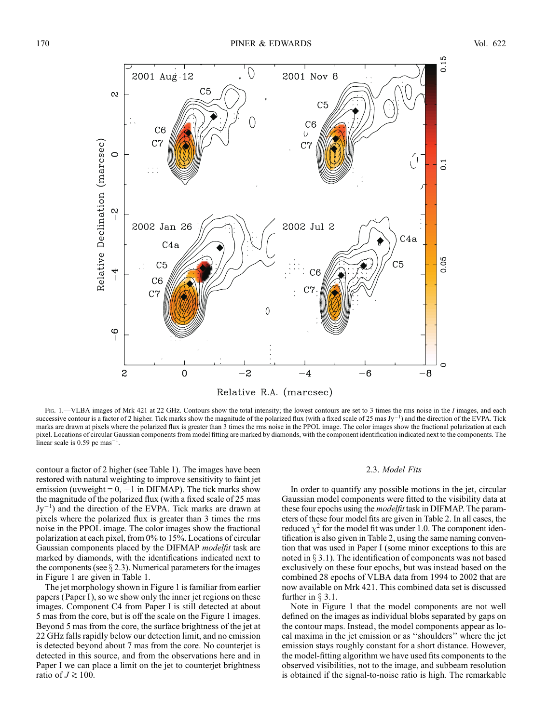

Fig. 1.—VLBA images of Mrk 421 at 22 GHz. Contours show the total intensity; the lowest contours are set to 3 times the rms noise in the I images, and each successive contour is a factor of 2 higher. Tick marks show the magnitude of the polarized flux (with a fixed scale of 25 mas Jy<sup>-1</sup>) and the direction of the EVPA. Tick marks are drawn at pixels where the polarized flux is greater than 3 times the rms noise in the PPOL image. The color images show the fractional polarization at each pixel. Locations of circular Gaussian components from model fitting are marked by diamonds, with the component identification indicated next to the components. The linear scale is  $0.59$  pc mas<sup>-1</sup>.

contour a factor of 2 higher (see Table 1). The images have been restored with natural weighting to improve sensitivity to faint jet emission (uvweight  $= 0, -1$  in DIFMAP). The tick marks show the magnitude of the polarized flux (with a fixed scale of 25 mas  $Jy^{-1}$ ) and the direction of the EVPA. Tick marks are drawn at pixels where the polarized flux is greater than 3 times the rms noise in the PPOL image. The color images show the fractional polarization at each pixel, from 0% to 15%. Locations of circular Gaussian components placed by the DIFMAP modelfit task are marked by diamonds, with the identifications indicated next to the components (see  $\S 2.3$ ). Numerical parameters for the images in Figure 1 are given in Table 1.

The jet morphology shown in Figure 1 is familiar from earlier papers (Paper I), so we show only the inner jet regions on these images. Component C4 from Paper I is still detected at about 5 mas from the core, but is off the scale on the Figure 1 images. Beyond 5 mas from the core, the surface brightness of the jet at 22 GHz falls rapidly below our detection limit, and no emission is detected beyond about 7 mas from the core. No counterjet is detected in this source, and from the observations here and in Paper I we can place a limit on the jet to counterjet brightness ratio of  $J \gtrsim 100$ .

## 2.3. Model Fits

In order to quantify any possible motions in the jet, circular Gaussian model components were fitted to the visibility data at these four epochs using the modelfit task in DIFMAP. The parameters of these four model fits are given in Table 2. In all cases, the reduced  $\chi^2$  for the model fit was under 1.0. The component identification is also given in Table 2, using the same naming convention that was used in Paper I (some minor exceptions to this are noted in  $\S 3.1$ ). The identification of components was not based exclusively on these four epochs, but was instead based on the combined 28 epochs of VLBA data from 1994 to 2002 that are now available on Mrk 421. This combined data set is discussed further in  $\S 3.1$ .

Note in Figure 1 that the model components are not well defined on the images as individual blobs separated by gaps on the contour maps. Instead, the model components appear as local maxima in the jet emission or as ''shoulders'' where the jet emission stays roughly constant for a short distance. However, the model-fitting algorithm we have used fits components to the observed visibilities, not to the image, and subbeam resolution is obtained if the signal-to-noise ratio is high. The remarkable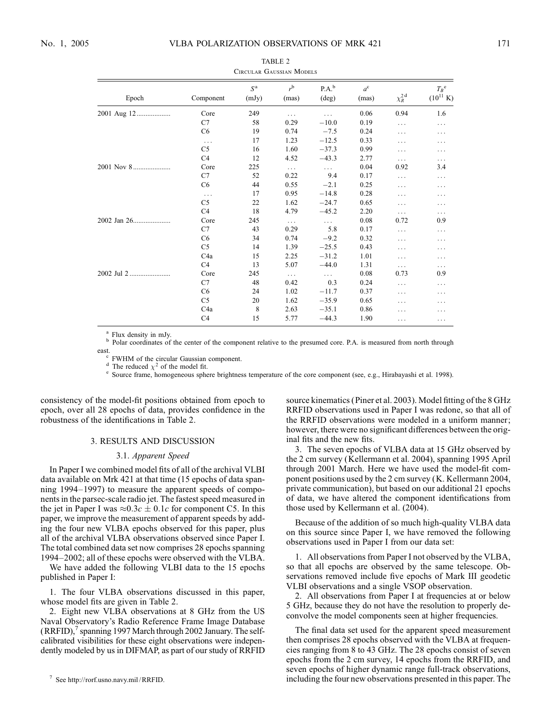| CIRCULAR OAUSSIAN INIUDELS |                  |                      |                  |                     |                      |                      |                                             |
|----------------------------|------------------|----------------------|------------------|---------------------|----------------------|----------------------|---------------------------------------------|
| Epoch                      | Component        | $S^{\rm a}$<br>(mJy) | $r^{b}$<br>(mas) | $P.A.^{b}$<br>(deg) | $a^{\rm c}$<br>(mas) | $\chi_R^{\text{2d}}$ | $T_B$ <sup>e</sup><br>$(10^{11} \text{ K})$ |
| 2001 Aug 12                | Core             | 249                  | $\cdots$         | .                   | 0.06                 | 0.94                 | 1.6                                         |
|                            | C7               | 58                   | 0.29             | $-10.0$             | 0.19                 | .                    | .                                           |
|                            | C <sub>6</sub>   | 19                   | 0.74             | $-7.5$              | 0.24                 | .                    | .                                           |
|                            | $\cdots$         | 17                   | 1.23             | $-12.5$             | 0.33                 | .                    | .                                           |
|                            | C <sub>5</sub>   | 16                   | 1.60             | $-37.3$             | 0.99                 | .                    | .                                           |
|                            | C <sub>4</sub>   | 12                   | 4.52             | $-43.3$             | 2.77                 | .                    | .                                           |
| 2001 Nov 8                 | Core             | 225                  | $\cdots$         | $\ldots$            | 0.04                 | 0.92                 | 3.4                                         |
|                            | C7               | 52                   | 0.22             | 9.4                 | 0.17                 | .                    | .                                           |
|                            | C <sub>6</sub>   | 44                   | 0.55             | $-2.1$              | 0.25                 | .                    | .                                           |
|                            | $\cdots$         | 17                   | 0.95             | $-14.8$             | 0.28                 | .                    | .                                           |
|                            | C <sub>5</sub>   | 22                   | 1.62             | $-24.7$             | 0.65                 | .                    | .                                           |
|                            | C4               | 18                   | 4.79             | $-45.2$             | 2.20                 | .                    | .                                           |
|                            | Core             | 245                  | $\cdots$         | $\cdots$            | 0.08                 | 0.72                 | 0.9                                         |
|                            | C7               | 43                   | 0.29             | 5.8                 | 0.17                 | .                    | .                                           |
|                            | C <sub>6</sub>   | 34                   | 0.74             | $-9.2$              | 0.32                 | .                    | .                                           |
|                            | C <sub>5</sub>   | 14                   | 1.39             | $-25.5$             | 0.43                 | .                    | .                                           |
|                            | C <sub>4</sub> a | 15                   | 2.25             | $-31.2$             | 1.01                 | .                    | .                                           |
|                            | C4               | 13                   | 5.07             | $-44.0$             | 1.31                 | .                    | .                                           |
| 2002 Jul 2                 | Core             | 245                  | $\ldots$         | $\cdots$            | 0.08                 | 0.73                 | 0.9                                         |
|                            | C7               | 48                   | 0.42             | 0.3                 | 0.24                 | .                    | .                                           |
|                            | C <sub>6</sub>   | 24                   | 1.02             | $-11.7$             | 0.37                 | .                    | .                                           |
|                            | C <sub>5</sub>   | 20                   | 1.62             | $-35.9$             | 0.65                 | .                    | .                                           |
|                            | C <sub>4</sub> a | 8                    | 2.63             | $-35.1$             | 0.86                 | .                    | .                                           |
|                            | C <sub>4</sub>   | 15                   | 5.77             | $-44.3$             | 1.90                 | .                    | .                                           |

TABLE 2 Circular Gaussian Models

<sup>a</sup> Flux density in mJy.<br><sup>b</sup> Polar coordinates of the center of the component relative to the presumed core. P.A. is measured from north through

east.<br>
<sup>c</sup> FWHM of the circular Gaussian component.<br>
<sup>d</sup> The reduced  $\chi^2$  of the model fit.<br>
<sup>e</sup> Source frame, homogeneous sphere brightness temperature of the core component (see, e.g., Hirabayashi et al. 1998).

consistency of the model-fit positions obtained from epoch to epoch, over all 28 epochs of data, provides confidence in the robustness of the identifications in Table 2.

# 3. RESULTS AND DISCUSSION

# 3.1. Apparent Speed

In Paper I we combined model fits of all of the archival VLBI data available on Mrk 421 at that time (15 epochs of data spanning 1994–1997) to measure the apparent speeds of components in the parsec-scale radio jet. The fastest speed measured in the jet in Paper I was  $\approx 0.3c \pm 0.1c$  for component C5. In this paper, we improve the measurement of apparent speeds by adding the four new VLBA epochs observed for this paper, plus all of the archival VLBA observations observed since Paper I. The total combined data set now comprises 28 epochs spanning 1994–2002; all of these epochs were observed with the VLBA.

We have added the following VLBI data to the 15 epochs published in Paper I:

1. The four VLBA observations discussed in this paper, whose model fits are given in Table 2.

2. Eight new VLBA observations at 8 GHz from the US Naval Observatory's Radio Reference Frame Image Database  $(RRFID)$ , spanning 1997 March through 2002 January. The selfcalibrated visibilities for these eight observations were independently modeled by us in DIFMAP, as part of our study of RRFID source kinematics (Piner et al. 2003). Model fitting of the 8 GHz RRFID observations used in Paper I was redone, so that all of the RRFID observations were modeled in a uniform manner; however, there were no significant differences between the original fits and the new fits.

3. The seven epochs of VLBA data at 15 GHz observed by the 2 cm survey (Kellermann et al. 2004), spanning 1995 April through 2001 March. Here we have used the model-fit component positions used by the 2 cm survey (K. Kellermann 2004, private communication), but based on our additional 21 epochs of data, we have altered the component identifications from those used by Kellermann et al. (2004).

Because of the addition of so much high-quality VLBA data on this source since Paper I, we have removed the following observations used in Paper I from our data set:

1. All observations from Paper I not observed by the VLBA, so that all epochs are observed by the same telescope. Observations removed include five epochs of Mark III geodetic VLBI observations and a single VSOP observation.

2. All observations from Paper I at frequencies at or below 5 GHz, because they do not have the resolution to properly deconvolve the model components seen at higher frequencies.

The final data set used for the apparent speed measurement then comprises 28 epochs observed with the VLBA at frequencies ranging from 8 to 43 GHz. The 28 epochs consist of seven epochs from the 2 cm survey, 14 epochs from the RRFID, and seven epochs of higher dynamic range full-track observations, including the four new observations presented in this paper. The

<sup>7</sup> See http://rorf.usno.navy.mil /RRFID.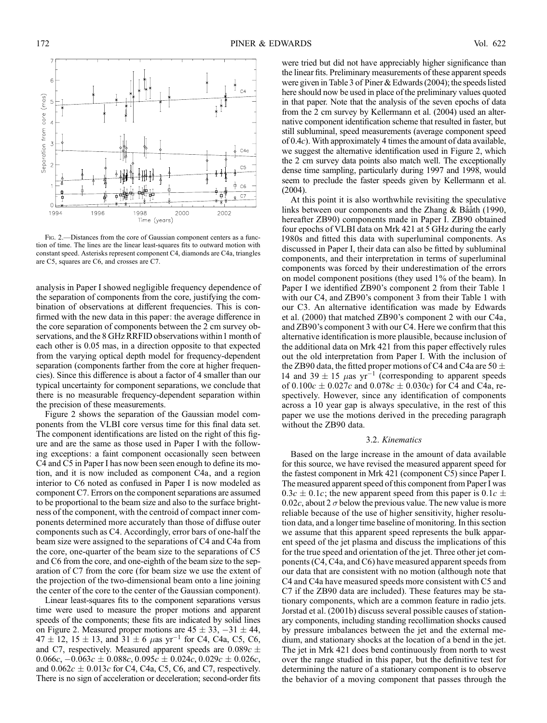

Fig. 2.—Distances from the core of Gaussian component centers as a function of time. The lines are the linear least-squares fits to outward motion with constant speed. Asterisks represent component C4, diamonds are C4a, triangles are C5, squares are C6, and crosses are C7.

analysis in Paper I showed negligible frequency dependence of the separation of components from the core, justifying the combination of observations at different frequencies. This is confirmed with the new data in this paper: the average difference in the core separation of components between the 2 cm survey observations, and the 8 GHz RRFID observations within1 month of each other is 0.05 mas, in a direction opposite to that expected from the varying optical depth model for frequency-dependent separation (components farther from the core at higher frequencies). Since this difference is about a factor of 4 smaller than our typical uncertainty for component separations, we conclude that there is no measurable frequency-dependent separation within the precision of these measurements.

Figure 2 shows the separation of the Gaussian model components from the VLBI core versus time for this final data set. The component identifications are listed on the right of this figure and are the same as those used in Paper I with the following exceptions: a faint component occasionally seen between C4 and C5 in Paper I has now been seen enough to define its motion, and it is now included as component C4a, and a region interior to C6 noted as confused in Paper I is now modeled as component C7. Errors on the component separations are assumed to be proportional to the beam size and also to the surface brightness of the component, with the centroid of compact inner components determined more accurately than those of diffuse outer components such as C4. Accordingly, error bars of one-half the beam size were assigned to the separations of C4 and C4a from the core, one-quarter of the beam size to the separations of C5 and C6 from the core, and one-eighth of the beam size to the separation of C7 from the core (for beam size we use the extent of the projection of the two-dimensional beam onto a line joining the center of the core to the center of the Gaussian component).

Linear least-squares fits to the component separations versus time were used to measure the proper motions and apparent speeds of the components; these fits are indicated by solid lines on Figure 2. Measured proper motions are  $45 \pm 33$ ,  $-31 \pm 44$ ,  $47 \pm 12$ ,  $15 \pm 13$ , and  $31 \pm 6$   $\mu$ as yr<sup>-1</sup> for C4, C4a, C5, C6, and C7, respectively. Measured apparent speeds are  $0.089c \pm$  $0.066c, -0.063c \pm 0.088c, 0.095c \pm 0.024c, 0.029c \pm 0.026c,$ and  $0.062c \pm 0.013c$  for C4, C4a, C5, C6, and C7, respectively. There is no sign of acceleration or deceleration; second-order fits

were tried but did not have appreciably higher significance than the linear fits. Preliminary measurements of these apparent speeds were given in Table 3 of Piner & Edwards (2004); the speeds listed here should now be used in place of the preliminary values quoted in that paper. Note that the analysis of the seven epochs of data from the 2 cm survey by Kellermann et al. (2004) used an alternative component identification scheme that resulted in faster, but still subluminal, speed measurements (average component speed of  $0.4c$ ). With approximately 4 times the amount of data available, we suggest the alternative identification used in Figure 2, which the 2 cm survey data points also match well. The exceptionally dense time sampling, particularly during 1997 and 1998, would seem to preclude the faster speeds given by Kellermann et al. (2004).

At this point it is also worthwhile revisiting the speculative links between our components and the Zhang & Bååth (1990, hereafter ZB90) components made in Paper I. ZB90 obtained four epochs of VLBI data on Mrk 421 at 5 GHz during the early 1980s and fitted this data with superluminal components. As discussed in Paper I, their data can also be fitted by subluminal components, and their interpretation in terms of superluminal components was forced by their underestimation of the errors on model component positions (they used 1% of the beam). In Paper I we identified ZB90's component 2 from their Table 1 with our C4, and ZB90's component 3 from their Table 1 with our C3. An alternative identification was made by Edwards et al. (2000) that matched ZB90's component 2 with our C4a, and ZB90's component 3 with our C4. Here we confirm that this alternative identification is more plausible, because inclusion of the additional data on Mrk 421 from this paper effectively rules out the old interpretation from Paper I. With the inclusion of the ZB90 data, the fitted proper motions of C4 and C4a are 50  $\pm$ 14 and 39  $\pm$  15  $\mu$ as yr<sup>-1</sup> (corresponding to apparent speeds of  $0.100c \pm 0.027c$  and  $0.078c \pm 0.030c$  for C4 and C4a, respectively. However, since any identification of components across a 10 year gap is always speculative, in the rest of this paper we use the motions derived in the preceding paragraph without the ZB90 data.

### 3.2. Kinematics

Based on the large increase in the amount of data available for this source, we have revised the measured apparent speed for the fastest component in Mrk 421 (component C5) since Paper I. The measured apparent speed of this component from Paper I was  $0.3c \pm 0.1c$ ; the new apparent speed from this paper is  $0.1c \pm 0.1c$ 0.02c, about 2  $\sigma$  below the previous value. The new value is more reliable because of the use of higher sensitivity, higher resolution data, and a longer time baseline of monitoring. In this section we assume that this apparent speed represents the bulk apparent speed of the jet plasma and discuss the implications of this for the true speed and orientation of the jet. Three other jet components (C4, C4a, and C6) have measured apparent speeds from our data that are consistent with no motion (although note that C4 and C4a have measured speeds more consistent with C5 and C7 if the ZB90 data are included). These features may be stationary components, which are a common feature in radio jets. Jorstad et al. (2001b) discuss several possible causes of stationary components, including standing recollimation shocks caused by pressure imbalances between the jet and the external medium, and stationary shocks at the location of a bend in the jet. The jet in Mrk 421 does bend continuously from north to west over the range studied in this paper, but the definitive test for determining the nature of a stationary component is to observe the behavior of a moving component that passes through the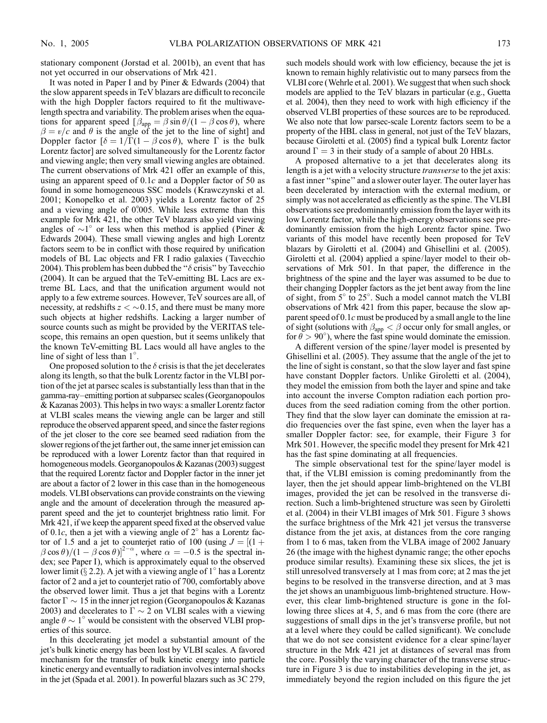stationary component (Jorstad et al. 2001b), an event that has not yet occurred in our observations of Mrk 421.

It was noted in Paper I and by Piner & Edwards (2004) that the slow apparent speeds in TeV blazars are difficult to reconcile with the high Doppler factors required to fit the multiwavelength spectra and variability. The problem arises when the equations for apparent speed  $\beta_{\rm app} = \beta \sin \theta / (1 - \beta \cos \theta)$ , where  $\beta = v/c$  and  $\theta$  is the angle of the jet to the line of sight] and Doppler factor  $[\delta = 1/\Gamma(1 - \beta \cos \theta)]$ , where  $\Gamma$  is the bulk Lorentz factor] are solved simultaneously for the Lorentz factor and viewing angle; then very small viewing angles are obtained. The current observations of Mrk 421 offer an example of this, using an apparent speed of  $0.1c$  and a Doppler factor of 50 as found in some homogeneous SSC models (Krawczynski et al. 2001; Konopelko et al. 2003) yields a Lorentz factor of 25 and a viewing angle of 0<sup>o</sup><sub>005</sub>. While less extreme than this example for Mrk 421, the other TeV blazars also yield viewing angles of  $\sim$ 1° or less when this method is applied (Piner & Edwards 2004). These small viewing angles and high Lorentz factors seem to be in conflict with those required by unification models of BL Lac objects and FR I radio galaxies (Tavecchio 2004). This problem has been dubbed the " $\delta$  crisis" by Tavecchio (2004). It can be argued that the TeV-emitting BL Lacs are extreme BL Lacs, and that the unification argument would not apply to a few extreme sources. However, TeV sources are all, of necessity, at redshifts  $z < \sim 0.15$ , and there must be many more such objects at higher redshifts. Lacking a larger number of source counts such as might be provided by the VERITAS telescope, this remains an open question, but it seems unlikely that the known TeV-emitting BL Lacs would all have angles to the line of sight of less than  $1^{\circ}$ .

One proposed solution to the  $\delta$  crisis is that the jet decelerates along its length, so that the bulk Lorentz factor in the VLBI portion of the jet at parsec scales is substantially less than that in the gamma-ray–emitting portion at subparsec scales (Georganopoulos & Kazanas 2003). This helps in two ways: a smaller Lorentz factor at VLBI scales means the viewing angle can be larger and still reproduce the observed apparent speed, and since the faster regions of the jet closer to the core see beamed seed radiation from the slower regions of the jet farther out, the same inner jet emission can be reproduced with a lower Lorentz factor than that required in homogeneous models. Georganopoulos & Kazanas (2003) suggest that the required Lorentz factor and Doppler factor in the inner jet are about a factor of 2 lower in this case than in the homogeneous models. VLBI observations can provide constraints on the viewing angle and the amount of deceleration through the measured apparent speed and the jet to counterjet brightness ratio limit. For Mrk 421, if we keep the apparent speed fixed at the observed value of 0.1c, then a jet with a viewing angle of  $2^{\circ}$  has a Lorentz factor of 1.5 and a jet to counterjet ratio of 100 (using  $J = [(1 +$  $(\beta \cos \theta)/(1 - \beta \cos \theta))^{2-\alpha}$ , where  $\alpha = -0.5$  is the spectral index; see Paper I), which is approximately equal to the observed lower limit ( $\S 2.2$ ). A jet with a viewing angle of 1<sup>°</sup> has a Lorentz factor of 2 and a jet to counterjet ratio of 700, comfortably above the observed lower limit. Thus a jet that begins with a Lorentz factor  $\Gamma \sim 15$  in the inner jet region (Georganopoulos & Kazanas 2003) and decelerates to  $\Gamma \sim 2$  on VLBI scales with a viewing angle  $\theta \sim 1^{\circ}$  would be consistent with the observed VLBI properties of this source.

In this decelerating jet model a substantial amount of the jet's bulk kinetic energy has been lost by VLBI scales. A favored mechanism for the transfer of bulk kinetic energy into particle kinetic energy and eventually to radiation involves internal shocks in the jet (Spada et al. 2001). In powerful blazars such as 3C 279, such models should work with low efficiency, because the jet is known to remain highly relativistic out to many parsecs from the VLBI core (Wehrle et al. 2001). We suggest that when such shock models are applied to the TeV blazars in particular (e.g., Guetta et al. 2004), then they need to work with high efficiency if the observed VLBI properties of these sources are to be reproduced. We also note that low parsec-scale Lorentz factors seem to be a property of the HBL class in general, not just of the TeV blazars, because Giroletti et al. (2005) find a typical bulk Lorentz factor around  $\Gamma = 3$  in their study of a sample of about 20 HBLs.

A proposed alternative to a jet that decelerates along its length is a jet with a velocity structure *transverse* to the jet axis: a fast inner ''spine'' and a slower outer layer. The outer layer has been decelerated by interaction with the external medium, or simply was not accelerated as efficiently as the spine. The VLBI observations see predominantly emission from the layer with its low Lorentz factor, while the high-energy observations see predominantly emission from the high Lorentz factor spine. Two variants of this model have recently been proposed for TeV blazars by Giroletti et al. (2004) and Ghisellini et al. (2005). Giroletti et al. (2004) applied a spine/layer model to their observations of Mrk 501. In that paper, the difference in the brightness of the spine and the layer was assumed to be due to their changing Doppler factors as the jet bent away from the line of sight, from  $5^\circ$  to  $25^\circ$ . Such a model cannot match the VLBI observations of Mrk 421 from this paper, because the slow apparent speed of  $0.1c$  must be produced by a small angle to the line of sight (solutions with  $\beta_{app} < \beta$  occur only for small angles, or for  $\ddot{\theta} > 90^{\circ}$ ), where the fast spine would dominate the emission.

A different version of the spine/layer model is presented by Ghisellini et al. (2005). They assume that the angle of the jet to the line of sight is constant, so that the slow layer and fast spine have constant Doppler factors. Unlike Giroletti et al. (2004), they model the emission from both the layer and spine and take into account the inverse Compton radiation each portion produces from the seed radiation coming from the other portion. They find that the slow layer can dominate the emission at radio frequencies over the fast spine, even when the layer has a smaller Doppler factor: see, for example, their Figure 3 for Mrk 501. However, the specific model they present for Mrk 421 has the fast spine dominating at all frequencies.

The simple observational test for the spine/layer model is that, if the VLBI emission is coming predominantly from the layer, then the jet should appear limb-brightened on the VLBI images, provided the jet can be resolved in the transverse direction. Such a limb-brightened structure was seen by Giroletti et al. (2004) in their VLBI images of Mrk 501. Figure 3 shows the surface brightness of the Mrk 421 jet versus the transverse distance from the jet axis, at distances from the core ranging from 1 to 6 mas, taken from the VLBA image of 2002 January 26 (the image with the highest dynamic range; the other epochs produce similar results). Examining these six slices, the jet is still unresolved transversely at 1 mas from core; at 2 mas the jet begins to be resolved in the transverse direction, and at 3 mas the jet shows an unambiguous limb-brightened structure. However, this clear limb-brightened structure is gone in the following three slices at 4, 5, and 6 mas from the core (there are suggestions of small dips in the jet's transverse profile, but not at a level where they could be called significant). We conclude that we do not see consistent evidence for a clear spine/layer structure in the Mrk 421 jet at distances of several mas from the core. Possibly the varying character of the transverse structure in Figure 3 is due to instabilities developing in the jet, as immediately beyond the region included on this figure the jet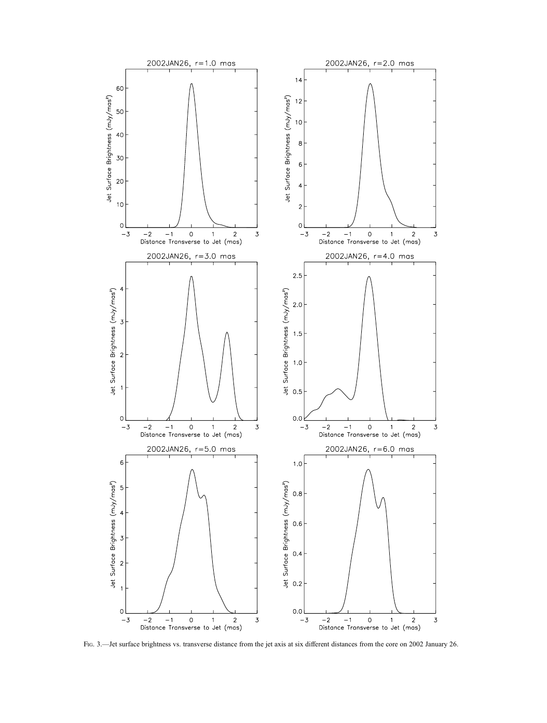

Fig. 3.—Jet surface brightness vs. transverse distance from the jet axis at six different distances from the core on 2002 January 26.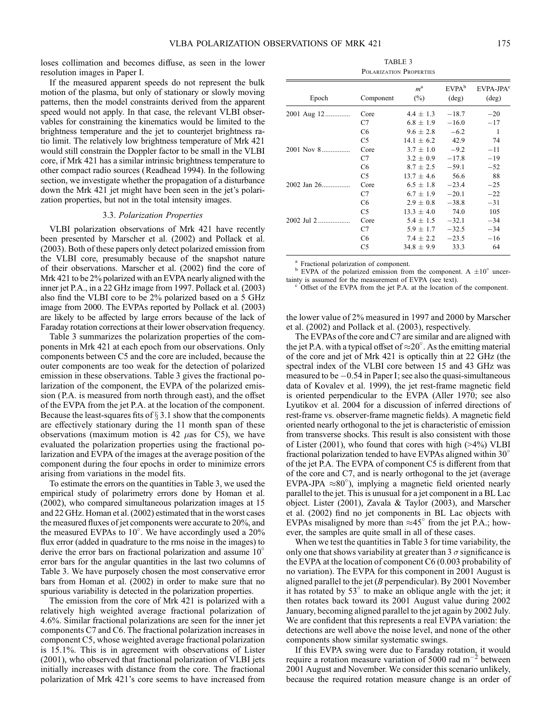loses collimation and becomes diffuse, as seen in the lower resolution images in Paper I.

If the measured apparent speeds do not represent the bulk motion of the plasma, but only of stationary or slowly moving patterns, then the model constraints derived from the apparent speed would not apply. In that case, the relevant VLBI observables for constraining the kinematics would be limited to the brightness temperature and the jet to counterjet brightness ratio limit. The relatively low brightness temperature of Mrk 421 would still constrain the Doppler factor to be small in the VLBI core, if Mrk 421 has a similar intrinsic brightness temperature to other compact radio sources (Readhead 1994). In the following section, we investigate whether the propagation of a disturbance down the Mrk 421 jet might have been seen in the jet's polarization properties, but not in the total intensity images.

# 3.3. Polarization Properties

VLBI polarization observations of Mrk 421 have recently been presented by Marscher et al. (2002) and Pollack et al. (2003). Both of these papers only detect polarized emission from the VLBI core, presumably because of the snapshot nature of their observations. Marscher et al. (2002) find the core of Mrk 421 to be 2% polarized with an EVPA nearly aligned with the inner jet P.A., in a 22 GHz image from 1997. Pollack et al. (2003) also find the VLBI core to be 2% polarized based on a 5 GHz image from 2000. The EVPAs reported by Pollack et al. (2003) are likely to be affected by large errors because of the lack of Faraday rotation corrections at their lower observation frequency.

Table 3 summarizes the polarization properties of the components in Mrk 421 at each epoch from our observations. Only components between C5 and the core are included, because the outer components are too weak for the detection of polarized emission in these observations. Table 3 gives the fractional polarization of the component, the EVPA of the polarized emission (P.A. is measured from north through east), and the offset of the EVPA from the jet P.A. at the location of the component. Because the least-squares fits of  $\S 3.1$  show that the components are effectively stationary during the 11 month span of these observations (maximum motion is 42  $\mu$ as for C5), we have evaluated the polarization properties using the fractional polarization and EVPA of the images at the average position of the component during the four epochs in order to minimize errors arising from variations in the model fits.

To estimate the errors on the quantities in Table 3, we used the empirical study of polarimetry errors done by Homan et al. (2002), who compared simultaneous polarization images at 15 and 22 GHz. Homan et al. (2002) estimated that in the worst cases the measured fluxes of jet components were accurate to 20%, and the measured EVPAs to 10°. We have accordingly used a 20% flux error (added in quadrature to the rms noise in the images) to derive the error bars on fractional polarization and assume 10° error bars for the angular quantities in the last two columns of Table 3. We have purposely chosen the most conservative error bars from Homan et al. (2002) in order to make sure that no spurious variability is detected in the polarization properties.

The emission from the core of Mrk 421 is polarized with a relatively high weighted average fractional polarization of 4.6%. Similar fractional polarizations are seen for the inner jet components C7 and C6. The fractional polarization increases in component C5, whose weighted average fractional polarization is 15.1%. This is in agreement with observations of Lister (2001), who observed that fractional polarization of VLBI jets initially increases with distance from the core. The fractional polarization of Mrk 421's core seems to have increased from

| TABLE 3                 |  |  |  |  |  |  |
|-------------------------|--|--|--|--|--|--|
| POLARIZATION PROPERTIES |  |  |  |  |  |  |

| Epoch           | Component      | $m^{\rm a}$<br>$(\%)$ | EVPA <sup>b</sup><br>$(\text{deg})$ | $E}{VPA-JPA}^c$<br>$(\text{deg})$ |
|-----------------|----------------|-----------------------|-------------------------------------|-----------------------------------|
| 2001 Aug 12     | Core           | $4.4 \pm 1.3$         | $-18.7$                             | $-20$                             |
|                 | C7             | $6.8 \pm 1.9$         | $-16.0$                             | $-17$                             |
|                 | C6             | $9.6 \pm 2.8$         | $-6.2$                              | -1                                |
|                 | C5             | $14.1 \pm 6.2$        | 42.9                                | 74                                |
| 2001 Nov 8      | Core           | $3.7 \pm 1.0$         | $-9.2$                              | $-11$                             |
|                 | C7             | $3.2 \pm 0.9$         | $-17.8$                             | $-19$                             |
|                 | C <sub>6</sub> | $8.7 + 2.5$           | $-59.1$                             | $-52$                             |
|                 | C <sub>5</sub> | $13.7 + 4.6$          | 56.6                                | 88                                |
| $2002$ Jan $26$ | Core           | $6.5 \pm 1.8$         | $-23.4$                             | $-25$                             |
|                 | C7             | $6.7 \pm 1.9$         | $-20.1$                             | $-22$                             |
|                 | C <sub>6</sub> | $2.9 \pm 0.8$         | $-38.8$                             | $-31$                             |
|                 | C5             | $13.3 \pm 4.0$        | 74.0                                | 105                               |
| 2002 Jul 2      | Core           | $5.4 \pm 1.5$         | $-32.1$                             | $-34$                             |
|                 | C7             | $5.9 \pm 1.7$         | $-32.5$                             | $-34$                             |
|                 | C <sub>6</sub> | $7.4 \pm 2.2$         | $-23.5$                             | $-16$                             |
|                 | C5             | $34.8 + 9.9$          | 33.3                                | 64                                |

<sup>a</sup> Fractional polarization of component.<br><sup>b</sup> EVPA of the polarized emission from the component. A  $\pm 10^\circ$  uncertainty is assumed for the measurement of EVPA (see text).

 $\textdegree$  Offset of the EVPA from the jet P.A. at the location of the component.

the lower value of 2% measured in 1997 and 2000 by Marscher et al. (2002) and Pollack et al. (2003), respectively.

The EVPAs of the core and C7 are similar and are aligned with the jet P.A. with a typical offset of  $\approx 20^{\circ}$ . As the emitting material of the core and jet of Mrk 421 is optically thin at 22 GHz (the spectral index of the VLBI core between 15 and 43 GHz was measured to be -0.54 in Paper I; see also the quasi-simultaneous data of Kovalev et al. 1999), the jet rest-frame magnetic field is oriented perpendicular to the EVPA (Aller 1970; see also Lyutikov et al. 2004 for a discussion of inferred directions of rest-frame vs. observer-frame magnetic fields). A magnetic field oriented nearly orthogonal to the jet is characteristic of emission from transverse shocks. This result is also consistent with those of Lister (2001), who found that cores with high (>4%) VLBI fractional polarization tended to have EVPAs aligned within 30 of the jet P.A. The EVPA of component C5 is different from that of the core and C7, and is nearly orthogonal to the jet (average EVPA-JPA  $\approx 80^\circ$ ), implying a magnetic field oriented nearly parallel to the jet. This is unusual for a jet component in a BL Lac object. Lister (2001), Zavala & Taylor (2003), and Marscher et al. (2002) find no jet components in BL Lac objects with EVPAs misaligned by more than  $\approx 45^\circ$  from the jet P.A.; however, the samples are quite small in all of these cases.

When we test the quantities in Table 3 for time variability, the only one that shows variability at greater than 3  $\sigma$  significance is the EVPA at the location of component C6 (0.003 probability of no variation). The EVPA for this component in 2001 August is aligned parallel to the jet  $(B$  perpendicular). By 2001 November it has rotated by  $53^\circ$  to make an oblique angle with the jet; it then rotates back toward its 2001 August value during 2002 January, becoming aligned parallel to the jet again by 2002 July. We are confident that this represents a real EVPA variation: the detections are well above the noise level, and none of the other components show similar systematic swings.

If this EVPA swing were due to Faraday rotation, it would require a rotation measure variation of 5000 rad  $m^{-2}$  between 2001 August and November. We consider this scenario unlikely, because the required rotation measure change is an order of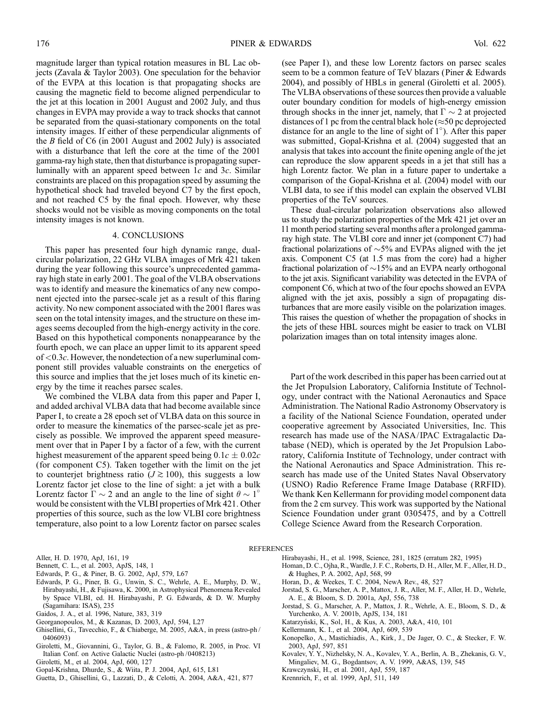magnitude larger than typical rotation measures in BL Lac objects (Zavala & Taylor 2003). One speculation for the behavior of the EVPA at this location is that propagating shocks are causing the magnetic field to become aligned perpendicular to the jet at this location in 2001 August and 2002 July, and thus changes in EVPA may provide a way to track shocks that cannot be separated from the quasi-stationary components on the total intensity images. If either of these perpendicular alignments of the B field of C6 (in 2001 August and 2002 July) is associated with a disturbance that left the core at the time of the 2001 gamma-ray high state, then that disturbance is propagating superluminally with an apparent speed between  $1c$  and  $3c$ . Similar constraints are placed on this propagation speed by assuming the hypothetical shock had traveled beyond C7 by the first epoch, and not reached C5 by the final epoch. However, why these shocks would not be visible as moving components on the total intensity images is not known.

# 4. CONCLUSIONS

This paper has presented four high dynamic range, dualcircular polarization, 22 GHz VLBA images of Mrk 421 taken during the year following this source's unprecedented gammaray high state in early 2001. The goal of the VLBA observations was to identify and measure the kinematics of any new component ejected into the parsec-scale jet as a result of this flaring activity. No new component associated with the 2001 flares was seen on the total intensity images, and the structure on these images seems decoupled from the high-energy activity in the core. Based on this hypothetical components nonappearance by the fourth epoch, we can place an upper limit to its apparent speed of  $< 0.3c$ . However, the nondetection of a new superluminal component still provides valuable constraints on the energetics of this source and implies that the jet loses much of its kinetic energy by the time it reaches parsec scales.

We combined the VLBA data from this paper and Paper I, and added archival VLBA data that had become available since Paper I, to create a 28 epoch set of VLBA data on this source in order to measure the kinematics of the parsec-scale jet as precisely as possible. We improved the apparent speed measurement over that in Paper I by a factor of a few, with the current highest measurement of the apparent speed being  $0.1c \pm 0.02c$ (for component C5). Taken together with the limit on the jet to counterjet brightness ratio ( $J \gtrsim 100$ ), this suggests a low Lorentz factor jet close to the line of sight: a jet with a bulk Lorentz factor  $\Gamma \sim 2$  and an angle to the line of sight  $\theta \sim 1^{\circ}$ would be consistent with the VLBI properties of Mrk 421. Other properties of this source, such as the low VLBI core brightness temperature, also point to a low Lorentz factor on parsec scales

- Edwards, P. G., & Piner, B. G. 2002, ApJ, 579, L67
- Edwards, P. G., Piner, B. G., Unwin, S. C., Wehrle, A. E., Murphy, D. W., Hirabayashi, H., & Fujisawa, K. 2000, in Astrophysical Phenomena Revealed by Space VLBI, ed. H. Hirabayashi, P. G. Edwards, & D. W. Murphy (Sagamihara: ISAS), 235
- Gaidos, J. A., et al. 1996, Nature, 383, 319
- Georganopoulos, M., & Kazanas, D. 2003, ApJ, 594, L27
- Ghisellini, G., Tavecchio, F., & Chiaberge, M. 2005, A&A, in press (astro-ph / 0406093)
- Giroletti, M., Giovannini, G., Taylor, G. B., & Falomo, R. 2005, in Proc. VI Italian Conf. on Active Galactic Nuclei (astro-ph /0408213)
- Giroletti, M., et al. 2004, ApJ, 600, 127
- Gopal-Krishna, Dhurde, S., & Wiita, P. J. 2004, ApJ, 615, L81
- Guetta, D., Ghisellini, G., Lazzati, D., & Celotti, A. 2004, A&A, 421, 877

(see Paper I), and these low Lorentz factors on parsec scales seem to be a common feature of TeV blazars (Piner & Edwards 2004), and possibly of HBLs in general (Giroletti et al. 2005). The VLBA observations of these sources then provide a valuable outer boundary condition for models of high-energy emission through shocks in the inner jet, namely, that  $\Gamma \sim 2$  at projected distances of 1 pc from the central black hole ( $\approx$ 50 pc deprojected distance for an angle to the line of sight of  $1^{\circ}$ ). After this paper was submitted, Gopal-Krishna et al. (2004) suggested that an analysis that takes into account the finite opening angle of the jet can reproduce the slow apparent speeds in a jet that still has a high Lorentz factor. We plan in a future paper to undertake a comparison of the Gopal-Krishna et al. (2004) model with our VLBI data, to see if this model can explain the observed VLBI properties of the TeV sources.

These dual-circular polarization observations also allowed us to study the polarization properties of the Mrk 421 jet over an 11 month period starting several months after a prolonged gammaray high state. The VLBI core and inner jet (component C7) had fractional polarizations of  $\sim$ 5% and EVPAs aligned with the jet axis. Component C5 (at 1.5 mas from the core) had a higher fractional polarization of  $\sim$ 15% and an EVPA nearly orthogonal to the jet axis. Significant variability was detected in the EVPA of component C6, which at two of the four epochs showed an EVPA aligned with the jet axis, possibly a sign of propagating disturbances that are more easily visible on the polarization images. This raises the question of whether the propagation of shocks in the jets of these HBL sources might be easier to track on VLBI polarization images than on total intensity images alone.

Part of the work described in this paper has been carried out at the Jet Propulsion Laboratory, California Institute of Technology, under contract with the National Aeronautics and Space Administration. The National Radio Astronomy Observatory is a facility of the National Science Foundation, operated under cooperative agreement by Associated Universities, Inc. This research has made use of the NASA/ IPAC Extragalactic Database (NED), which is operated by the Jet Propulsion Laboratory, California Institute of Technology, under contract with the National Aeronautics and Space Administration. This research has made use of the United States Naval Observatory (USNO) Radio Reference Frame Image Database (RRFID). We thank Ken Kellermann for providing model component data from the 2 cm survey. This work was supported by the National Science Foundation under grant 0305475, and by a Cottrell College Science Award from the Research Corporation.

- REFERENCES
	- Hirabayashi, H., et al. 1998, Science, 281, 1825 (erratum 282, 1995)
	- Homan, D. C., Ojha, R., Wardle, J. F. C., Roberts, D. H., Aller, M. F., Aller, H. D., & Hughes, P. A. 2002, ApJ, 568, 99
	- Horan, D., & Weekes, T. C. 2004, NewA Rev., 48, 527
	- Jorstad, S. G., Marscher, A. P., Mattox, J. R., Aller, M. F., Aller, H. D., Wehrle, A. E., & Bloom, S. D. 2001a, ApJ, 556, 738
	- Jorstad, S. G., Marscher, A. P., Mattox, J. R., Wehrle, A. E., Bloom, S. D., & Yurchenko, A. V. 2001b, ApJS, 134, 181
	- Katarzyński, K., Sol, H., & Kus, A. 2003, A&A, 410, 101
	- Kellermann, K. I., et al. 2004, ApJ, 609, 539
	- Konopelko, A., Mastichiadis, A., Kirk, J., De Jager, O. C., & Stecker, F. W. 2003, ApJ, 597, 851
	- Kovalev, Y. Y., Nizhelsky, N. A., Kovalev, Y. A., Berlin, A. B., Zhekanis, G. V., Mingaliev, M. G., Bogdantsov, A. V. 1999, A&AS, 139, 545
	- Krawczynski, H., et al. 2001, ApJ, 559, 187
	- Krennrich, F., et al. 1999, ApJ, 511, 149

Aller, H. D. 1970, ApJ, 161, 19

Bennett, C. L., et al. 2003, ApJS, 148, 1